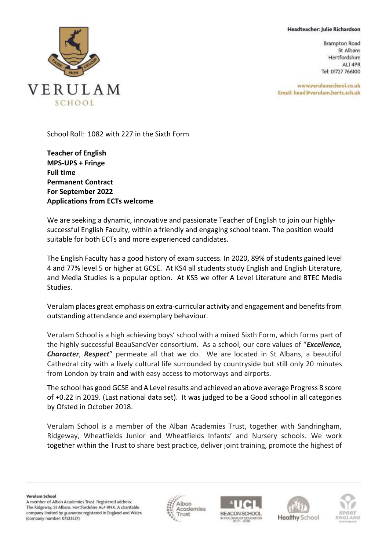## Headteacher: Julie Richardson

**Brampton Road** St Albans Hertfordshire ALI 4PR Tel: 01727 766100

www.verulamschool.co.uk Email: head@verulam.herts.sch.uk



School Roll: 1082 with 227 in the Sixth Form

**Teacher of English MPS-UPS + Fringe Full time Permanent Contract For September 2022 Applications from ECTs welcome**

We are seeking a dynamic, innovative and passionate Teacher of English to join our highlysuccessful English Faculty, within a friendly and engaging school team. The position would suitable for both ECTs and more experienced candidates.

The English Faculty has a good history of exam success. In 2020, 89% of students gained level 4 and 77% level 5 or higher at GCSE. At KS4 all students study English and English Literature, and Media Studies is a popular option. At KS5 we offer A Level Literature and BTEC Media Studies.

Verulam places great emphasis on extra-curricular activity and engagement and benefits from outstanding attendance and exemplary behaviour.

Verulam School is a high achieving boys' school with a mixed Sixth Form, which forms part of the highly successful BeauSandVer consortium. As a school, our core values of "*Excellence, Character*, *Respect*" permeate all that we do. We are located in St Albans, a beautiful Cathedral city with a lively cultural life surrounded by countryside but still only 20 minutes from London by train and with easy access to motorways and airports.

The school has good GCSE and A Level results and achieved an above average Progress 8 score of +0.22 in 2019. (Last national data set). It was judged to be a Good school in all categories by Ofsted in October 2018.

Verulam School is a member of the Alban Academies Trust, together with Sandringham, Ridgeway, Wheatfields Junior and Wheatfields Infants' and Nursery schools. We work together within the Trust to share best practice, deliver joint training, promote the highest of